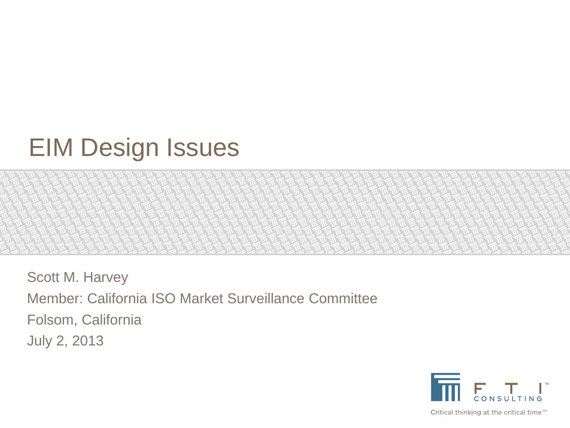## EIM Design Issues

Scott M. Harvey Member: California ISO Market Surveillance Committee Folsom, California July 2, 2013



Critical thinking at the critical time<sup>™</sup>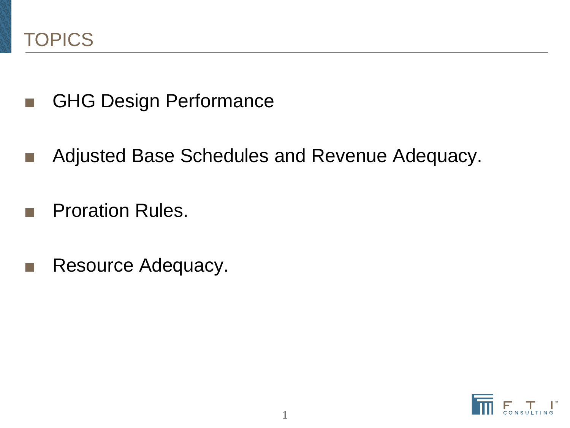- **GHG Design Performance**
- Adjusted Base Schedules and Revenue Adequacy.
- **Proration Rules.**
- Resource Adequacy.

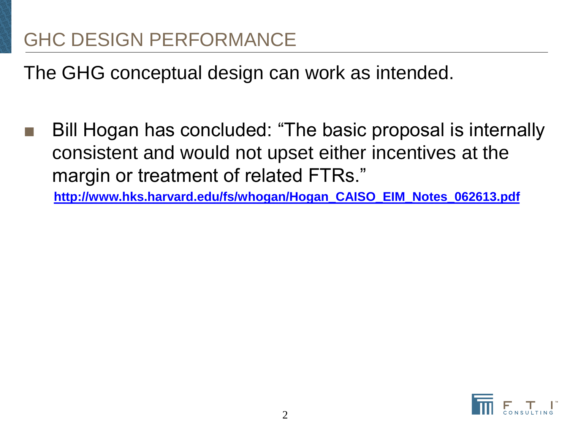The GHG conceptual design can work as intended.

Bill Hogan has concluded: "The basic proposal is internally consistent and would not upset either incentives at the margin or treatment of related FTRs.["](http://www.hks.harvard.edu/fs/whogan/Hogan_CAISO_EIM_Notes_062613.pdf)

**[http://www.hks.harvard.edu/fs/whogan/Hogan\\_CAISO\\_EIM\\_Notes\\_062613.pdf](http://www.hks.harvard.edu/fs/whogan/Hogan_CAISO_EIM_Notes_062613.pdf)**

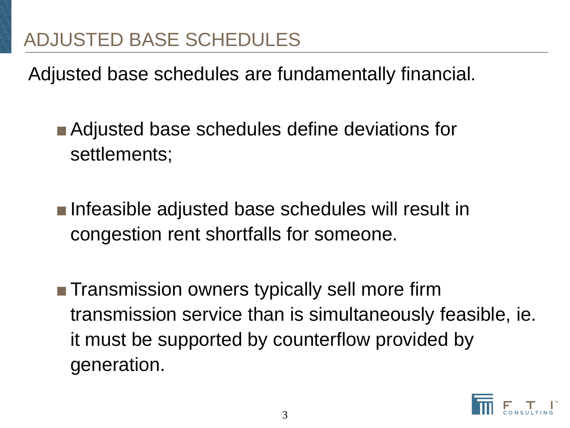Adjusted base schedules are fundamentally financial.

- Adjusted base schedules define deviations for settlements;
- Infeasible adjusted base schedules will result in congestion rent shortfalls for someone.
- Transmission owners typically sell more firm transmission service than is simultaneously feasible, ie. it must be supported by counterflow provided by generation.

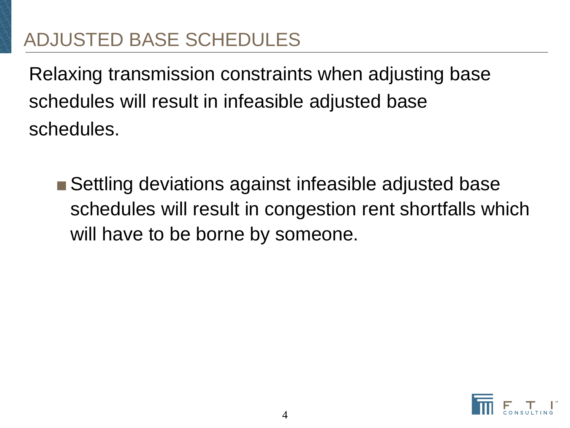Relaxing transmission constraints when adjusting base schedules will result in infeasible adjusted base schedules.

■ Settling deviations against infeasible adjusted base schedules will result in congestion rent shortfalls which will have to be borne by someone.

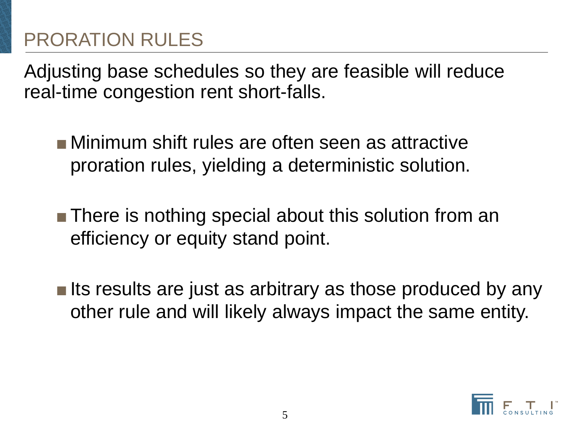Adjusting base schedules so they are feasible will reduce real-time congestion rent short-falls.

- Minimum shift rules are often seen as attractive proration rules, yielding a deterministic solution.
- There is nothing special about this solution from an efficiency or equity stand point.
- Its results are just as arbitrary as those produced by any other rule and will likely always impact the same entity.

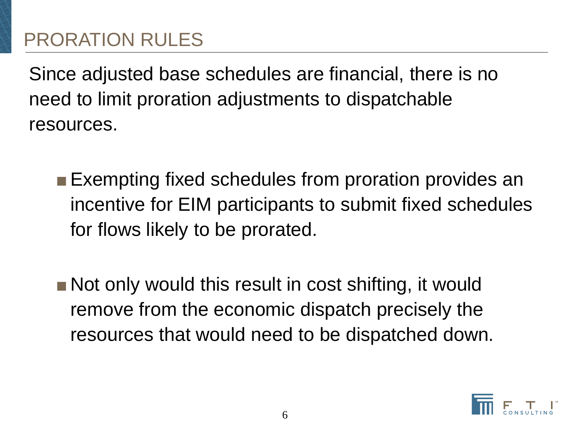Since adjusted base schedules are financial, there is no need to limit proration adjustments to dispatchable resources.

- Exempting fixed schedules from proration provides an incentive for EIM participants to submit fixed schedules for flows likely to be prorated.
- Not only would this result in cost shifting, it would remove from the economic dispatch precisely the resources that would need to be dispatched down.

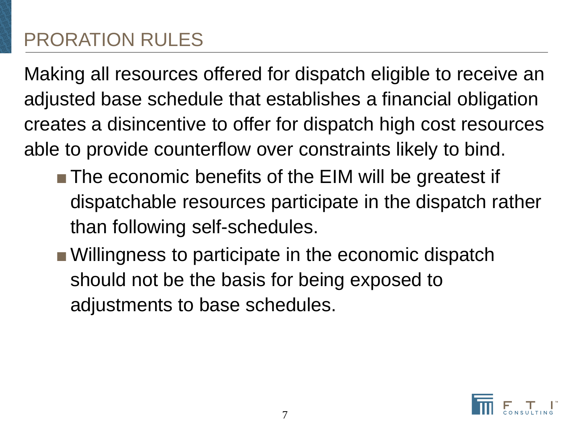Making all resources offered for dispatch eligible to receive an adjusted base schedule that establishes a financial obligation creates a disincentive to offer for dispatch high cost resources able to provide counterflow over constraints likely to bind.

- The economic benefits of the EIM will be greatest if dispatchable resources participate in the dispatch rather than following self-schedules.
- Willingness to participate in the economic dispatch should not be the basis for being exposed to adjustments to base schedules.

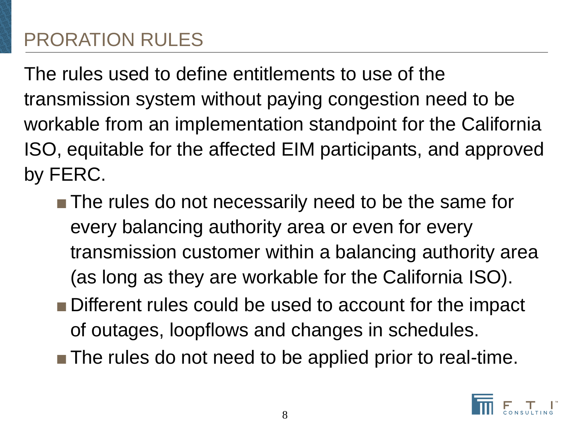The rules used to define entitlements to use of the transmission system without paying congestion need to be workable from an implementation standpoint for the California ISO, equitable for the affected EIM participants, and approved by FERC.

- The rules do not necessarily need to be the same for every balancing authority area or even for every transmission customer within a balancing authority area (as long as they are workable for the California ISO).
- Different rules could be used to account for the impact of outages, loopflows and changes in schedules.
- The rules do not need to be applied prior to real-time.

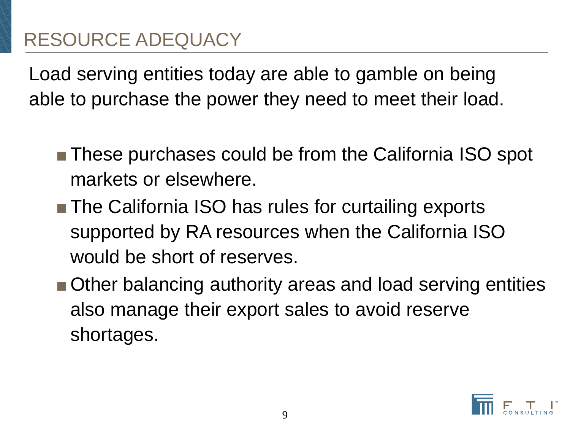Load serving entities today are able to gamble on being able to purchase the power they need to meet their load.

- These purchases could be from the California ISO spot markets or elsewhere.
- The California ISO has rules for curtailing exports supported by RA resources when the California ISO would be short of reserves.
- Other balancing authority areas and load serving entities also manage their export sales to avoid reserve shortages.